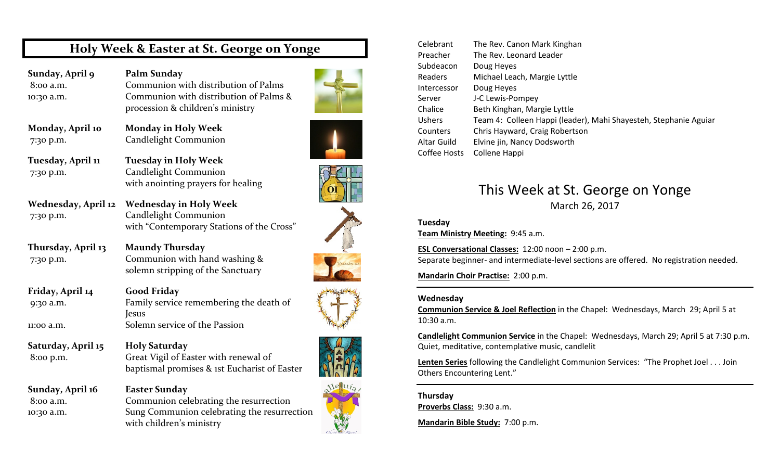### Holy Week & Easter at St. George on Yonge

Sunday, April 9

 Palm Sunday 8:00 a.m. Communion with distribution of Palms 10:30 a.m. Communion with distribution of Palms & procession & children's ministry

Monday, April 10

 Monday in Holy Week7:30 p.m. Candlelight Communion

Tuesday, April 11

 Tuesday in Holy Week 7:30 p.m. Candlelight Communion with anointing prayers for healing

Wednesday in Holy Week

Wednesday, April 127:30 p.m. Candlelight Communion

Thursday, April 13

 Maundy Thursday 7:30 p.m. Communion with hand washing & solemn stripping of the Sanctuary

Friday, April 14

Saturday, April 15

Sunday, April 16

 Good Friday 9:30 a.m. Family service remembering the death of Jesus 11:00 a.m. Solemn service of the Passion

with "Contemporary Stations of the Cross"

 Holy Saturday 8:00 p.m. Great Vigil of Easter with renewal of baptismal promises & 1st Eucharist of Easter

 Easter Sunday 8:00 a.m. Communion celebrating the resurrection 10:30 a.m. Sung Communion celebrating the resurrection with children's ministry



| Celebrant     | The Rev. Canon Mark Kinghan                                      |  |
|---------------|------------------------------------------------------------------|--|
| Preacher      | The Rev. Leonard Leader                                          |  |
| Subdeacon     | Doug Heyes                                                       |  |
| Readers       | Michael Leach, Margie Lyttle                                     |  |
| Intercessor   | Doug Heyes                                                       |  |
| Server        | J-C Lewis-Pompey                                                 |  |
| Chalice       | Beth Kinghan, Margie Lyttle                                      |  |
| <b>Ushers</b> | Team 4: Colleen Happi (leader), Mahi Shayesteh, Stephanie Aguiar |  |
| Counters      | Chris Hayward, Craig Robertson                                   |  |
| Altar Guild   | Elvine jin, Nancy Dodsworth                                      |  |
| Coffee Hosts  | Collene Happi                                                    |  |

### This Week at St. George on Yonge March 26, 2017

#### Tuesday

Team Ministry Meeting: 9:45 a.m.

ESL Conversational Classes: 12:00 noon – 2:00 p.m. Separate beginner- and intermediate-level sections are offered. No registration needed.

Mandarin Choir Practise: 2:00 p.m.

#### Wednesday

Communion Service & Joel Reflection in the Chapel: Wednesdays, March 29; April 5 at 10:30 a.m.

Candlelight Communion Service in the Chapel: Wednesdays, March 29; April 5 at 7:30 p.m. Quiet, meditative, contemplative music, candlelit

Lenten Series following the Candlelight Communion Services: "The Prophet Joel . . . Join Others Encountering Lent."

Thursday Proverbs Class: 9:30 a.m.

Mandarin Bible Study: 7:00 p.m.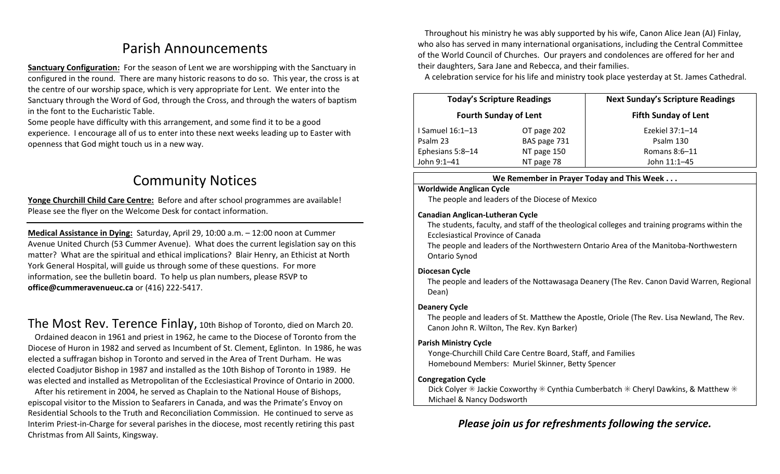## Parish Announcements

Sanctuary Configuration: For the season of Lent we are worshipping with the Sanctuary in configured in the round. There are many historic reasons to do so. This year, the cross is at the centre of our worship space, which is very appropriate for Lent. We enter into the Sanctuary through the Word of God, through the Cross, and through the waters of baptism in the font to the Eucharistic Table.

Some people have difficulty with this arrangement, and some find it to be a good experience. I encourage all of us to enter into these next weeks leading up to Easter with openness that God might touch us in a new way.

## Community Notices

Yonge Churchill Child Care Centre: Before and after school programmes are available!Please see the flyer on the Welcome Desk for contact information.

Medical Assistance in Dying: Saturday, April 29, 10:00 a.m. – 12:00 noon at Cummer Avenue United Church (53 Cummer Avenue). What does the current legislation say on this matter? What are the spiritual and ethical implications? Blair Henry, an Ethicist at North York General Hospital, will guide us through some of these questions. For more information, see the bulletin board. To help us plan numbers, please RSVP to office@cummeravenueuc.ca or (416) 222-5417.

The Most Rev. Terence Finlay, 10th Bishop of Toronto, died on March 20.

Ordained deacon in 1961 and priest in 1962, he came to the Diocese of Toronto from the Diocese of Huron in 1982 and served as Incumbent of St. Clement, Eglinton. In 1986, he was elected a suffragan bishop in Toronto and served in the Area of Trent Durham. He was elected Coadjutor Bishop in 1987 and installed as the 10th Bishop of Toronto in 1989. He was elected and installed as Metropolitan of the Ecclesiastical Province of Ontario in 2000.

After his retirement in 2004, he served as Chaplain to the National House of Bishops, episcopal visitor to the Mission to Seafarers in Canada, and was the Primate's Envoy on Residential Schools to the Truth and Reconciliation Commission. He continued to serve as Interim Priest-in-Charge for several parishes in the diocese, most recently retiring this past Christmas from All Saints, Kingsway.

Throughout his ministry he was ably supported by his wife, Canon Alice Jean (AJ) Finlay, who also has served in many international organisations, including the Central Committee of the World Council of Churches. Our prayers and condolences are offered for her and their daughters, Sara Jane and Rebecca, and their families.

A celebration service for his life and ministry took place yesterday at St. James Cathedral.

| <b>Today's Scripture Readings</b><br><b>Fourth Sunday of Lent</b> |              | <b>Next Sunday's Scripture Readings</b><br><b>Fifth Sunday of Lent</b> |
|-------------------------------------------------------------------|--------------|------------------------------------------------------------------------|
|                                                                   |              |                                                                        |
| Psalm 23                                                          | BAS page 731 | Psalm 130                                                              |
| Ephesians 5:8-14                                                  | NT page 150  | Romans $8:6-11$                                                        |
| John 9:1-41                                                       | NT page 78   | John 11:1-45                                                           |

#### We Remember in Prayer Today and This Week . . .

#### Worldwide Anglican Cycle

The people and leaders of the Diocese of Mexico

#### Canadian Anglican-Lutheran Cycle

 The students, faculty, and staff of the theological colleges and training programs within the Ecclesiastical Province of Canada

The people and leaders of the Northwestern Ontario Area of the Manitoba-Northwestern Ontario Synod

#### Diocesan Cycle

The people and leaders of the Nottawasaga Deanery (The Rev. Canon David Warren, Regional Dean)

#### Deanery Cycle

The people and leaders of St. Matthew the Apostle, Oriole (The Rev. Lisa Newland, The Rev. Canon John R. Wilton, The Rev. Kyn Barker)

#### Parish Ministry Cycle

Yonge-Churchill Child Care Centre Board, Staff, and Families Homebound Members: Muriel Skinner, Betty Spencer

#### Congregation Cycle

Dick Colyer  $\ast$  Jackie Coxworthy  $\ast$  Cynthia Cumberbatch  $\ast$  Cheryl Dawkins, & Matthew  $\ast$ Michael & Nancy Dodsworth

### Please join us for refreshments following the service.